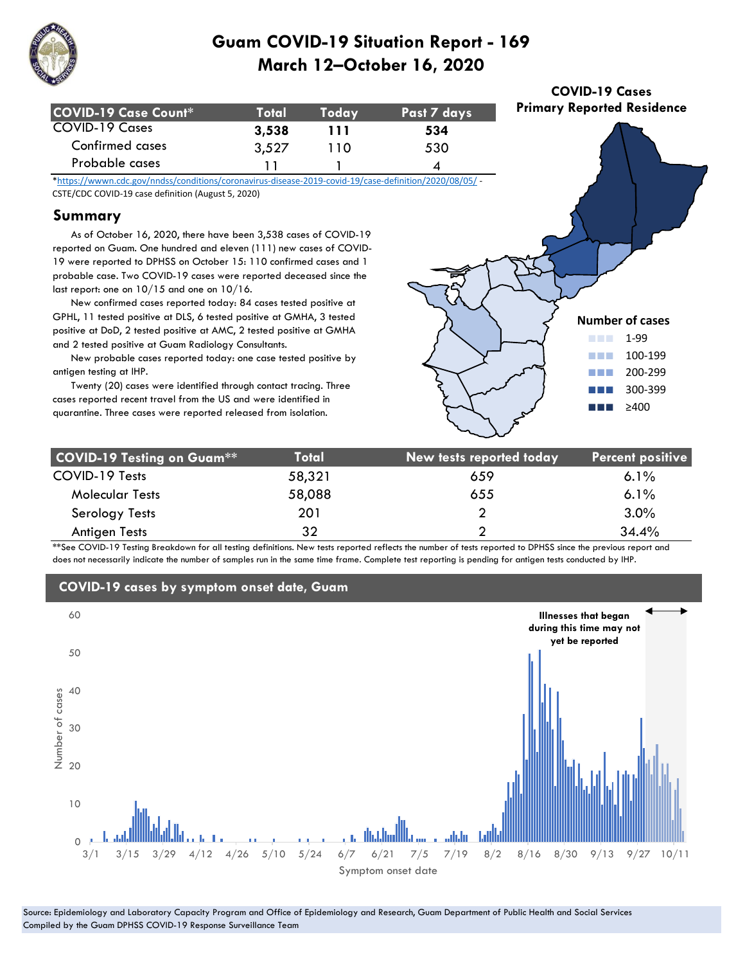

| COVID-19 Case Count* | Total | <b>Todav</b> | Past 7 days |
|----------------------|-------|--------------|-------------|
| COVID-19 Cases       | 3,538 | 111          | 534         |
| Confirmed cases      | 3,527 | 11 O         | 530         |
| Probable cases       |       |              |             |

\*https://wwwn.cdc.gov/nndss/conditions/coronavirus-disease-2019-covid-19/case-definition/2020/08/05/ - CSTE/CDC COVID-19 case definition (August 5, 2020)

#### **Summary**

 As of October 16, 2020, there have been 3,538 cases of COVID-19 reported on Guam. One hundred and eleven (111) new cases of COVID-19 were reported to DPHSS on October 15: 110 confirmed cases and 1 probable case. Two COVID-19 cases were reported deceased since the last report: one on 10/15 and one on 10/16.

 New confirmed cases reported today: 84 cases tested positive at GPHL, 11 tested positive at DLS, 6 tested positive at GMHA, 3 tested positive at DoD, 2 tested positive at AMC, 2 tested positive at GMHA and 2 tested positive at Guam Radiology Consultants.

 New probable cases reported today: one case tested positive by antigen testing at IHP.

 Twenty (20) cases were identified through contact tracing. Three cases reported recent travel from the US and were identified in quarantine. Three cases were reported released from isolation.



**COVID-19 Cases Primary Reported Residence**

| <b>COVID-19 Testing on Guam**</b> | <b>Total</b> | New tests reported today | <b>Percent positive</b> |
|-----------------------------------|--------------|--------------------------|-------------------------|
| COVID-19 Tests                    | 58,321       | 659                      | $6.1\%$                 |
| <b>Molecular Tests</b>            | 58,088       | 655                      | $6.1\%$                 |
| Serology Tests                    | 201          |                          | 3.0%                    |
| Antigen Tests                     | 32           | ◠                        | 34.4%                   |

\*\*See COVID-19 Testing Breakdown for all testing definitions. New tests reported reflects the number of tests reported to DPHSS since the previous report and does not necessarily indicate the number of samples run in the same time frame. Complete test reporting is pending for antigen tests conducted by IHP.



### **COVID-19 cases by symptom onset date, Guam**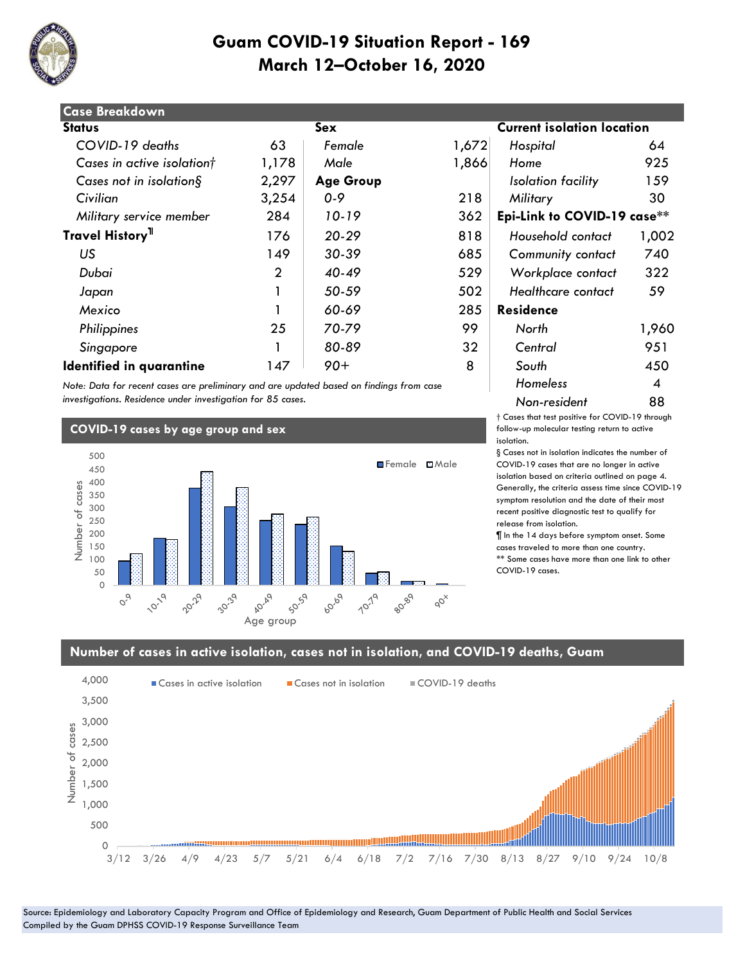

| <b>Case Breakdown</b>        |                |                  |       |                                   |       |
|------------------------------|----------------|------------------|-------|-----------------------------------|-------|
| <b>Status</b>                |                | Sex              |       | <b>Current isolation location</b> |       |
| COVID-19 deaths              | 63             | Female           | 1,672 | Hospital                          | 64    |
| Cases in active isolationt   | 1,178          | Male             | 1,866 | Home                              | 925   |
| Cases not in isolation $\S$  | 2,297          | <b>Age Group</b> |       | Isolation facility                | 159   |
| Civilian                     | 3,254          | $0 - 9$          | 218   | Military                          | 30    |
| Military service member      | 284            | 10-19            | 362   | Epi-Link to COVID-19 case**       |       |
| Travel History <sup>11</sup> | 176            | $20 - 29$        | 818   | Household contact                 | 1,002 |
| US                           | 149            | 30-39            | 685   | <b>Community contact</b>          | 740   |
| Dubai                        | $\overline{2}$ | $40 - 49$        | 529   | Workplace contact                 | 322   |
| Japan                        |                | 50-59            | 502   | Healthcare contact                | 59    |
| Mexico                       |                | 60-69            | 285   | <b>Residence</b>                  |       |
| Philippines                  | 25             | 70-79            | 99    | North                             | 1,960 |
| Singapore                    |                | 80-89            | 32    | Central                           | 951   |
| Identified in quarantine     | 147            | $90+$            | 8     | South                             | 450   |

*Note: Data for recent cases are preliminary and are updated based on findings from case investigations. Residence under investigation for 85 cases.*

#### **COVID-19 cases by age group and sex**



# **Status Sex Current isolation location**  *Military service member* 284 *10-19* 362 **Epi-Link to COVID-19 case\*\*** *Homeless* 4 *Non-resident* 88

† Cases that test positive for COVID-19 through follow-up molecular testing return to active isolation.

§ Cases not in isolation indicates the number of COVID-19 cases that are no longer in active isolation based on criteria outlined on page 4. Generally, the criteria assess time since COVID-19 symptom resolution and the date of their most recent positive diagnostic test to qualify for release from isolation.

¶ In the 14 days before symptom onset. Some cases traveled to more than one country. \*\* Some cases have more than one link to other COVID-19 cases.

#### **Number of cases in active isolation, cases not in isolation, and COVID-19 deaths, Guam**



Source: Epidemiology and Laboratory Capacity Program and Office of Epidemiology and Research, Guam Department of Public Health and Social Services Compiled by the Guam DPHSS COVID-19 Response Surveillance Team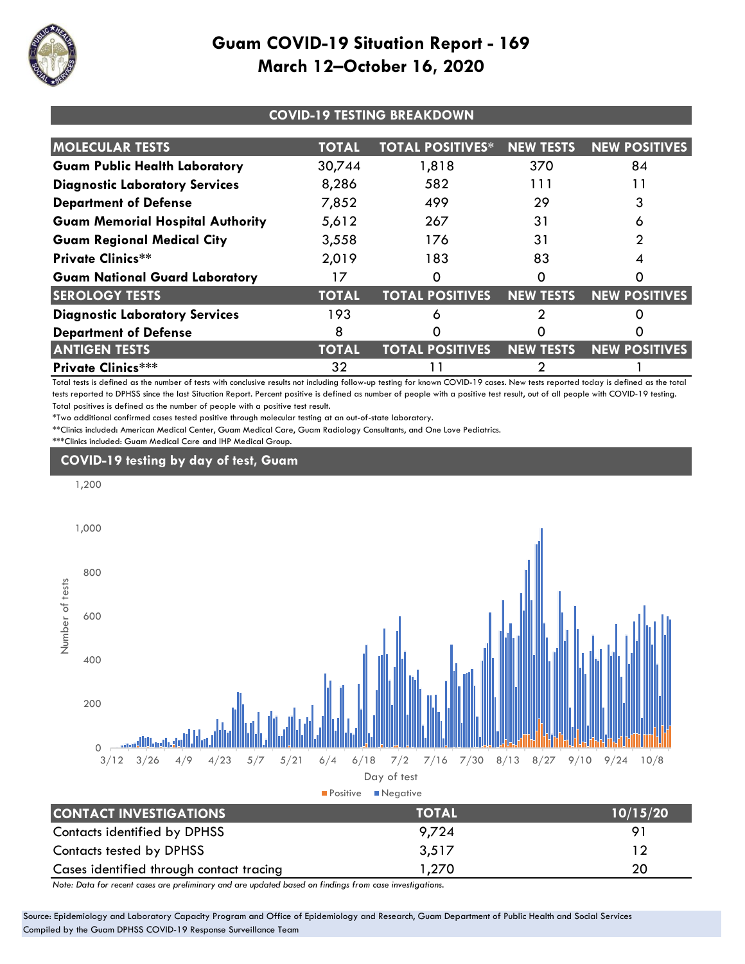

| <b>COVID-19 TESTING BREAKDOWN</b>       |              |                         |                  |                      |  |
|-----------------------------------------|--------------|-------------------------|------------------|----------------------|--|
| <b>MOLECULAR TESTS</b>                  | TOTAL        | <b>TOTAL POSITIVES*</b> | <b>NEW TESTS</b> | <b>NEW POSITIVES</b> |  |
| <b>Guam Public Health Laboratory</b>    | 30,744       | 1,818                   | 370              | 84                   |  |
| <b>Diagnostic Laboratory Services</b>   | 8,286        | 582                     | 111              | 11                   |  |
| <b>Department of Defense</b>            | 7,852        | 499                     | 29               |                      |  |
| <b>Guam Memorial Hospital Authority</b> | 5,612        | 267                     | 31               | O                    |  |
| <b>Guam Regional Medical City</b>       | 3,558        | 176                     | 31               |                      |  |
| <b>Private Clinics**</b>                | 2,019        | 183                     | 83               |                      |  |
| <b>Guam National Guard Laboratory</b>   | 17           |                         | Ω                | O                    |  |
| <b>SEROLOGY TESTS</b>                   | <b>TOTAL</b> | <b>TOTAL POSITIVES</b>  | <b>NEW TESTS</b> | <b>NEW POSITIVES</b> |  |
| <b>Diagnostic Laboratory Services</b>   | 193          | 6                       |                  |                      |  |
| <b>Department of Defense</b>            | 8            |                         |                  |                      |  |
| <b>ANTIGEN TESTS</b>                    | <b>TOTAL</b> | <b>TOTAL POSITIVES</b>  | <b>NEW TESTS</b> | <b>NEW POSITIVES</b> |  |
| <b>Private Clinics***</b>               | 32           |                         |                  |                      |  |

Total tests is defined as the number of tests with conclusive results not including follow-up testing for known COVID-19 cases. New tests reported today is defined as the total tests reported to DPHSS since the last Situation Report. Percent positive is defined as number of people with a positive test result, out of all people with COVID-19 testing. Total positives is defined as the number of people with a positive test result.

\*Two additional confirmed cases tested positive through molecular testing at an out-of-state laboratory.

\*\*Clinics included: American Medical Center, Guam Medical Care, Guam Radiology Consultants, and One Love Pediatrics. \*\*\*Clinics included: Guam Medical Care and IHP Medical Group.

## **COVID-19 testing by day of test, Guam**



Cases identified through contact tracing 1,270 20 *Note: Data for recent cases are preliminary and are updated based on findings from case investigations.*

Source: Epidemiology and Laboratory Capacity Program and Office of Epidemiology and Research, Guam Department of Public Health and Social Services Compiled by the Guam DPHSS COVID-19 Response Surveillance Team